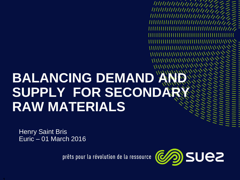# **BALANCING DEMAND A SUPPLY FOR SECONDAR RAW MATERIALS**

Henry Saint Bris Euric – 01 March 2016

prêts pour la révolution de la ressource



*<u>HIIIIIIIIIIIIIIIII</u>I* //////////////////////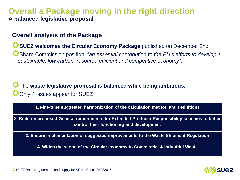### **Overall a Package moving in the right direction A balanced legislative proposal**

### **Overall analysis of the Package**

**USUEZ welcomes the Circular Economy Package** published on December 2nd.

Share Commission position: "*an essential contribution to the EU's efforts to develop a sustainable, low carbon, resource efficient and competitive economy*".

### The **waste legislative proposal is balanced while being ambitious**. **O** Only 4 issues appear for SUEZ

**1. Fine-tune suggested harmonization of the calculation method and definitions**

**2. Build on proposed General requirements for Extended Producer Responsibility schemes to better control their functioning and development**

**3. Ensure implementation of suggested improvements to the Waste Shipment Regulation**

**4. Widen the scope of the Circular economy to Commercial & Industrial Waste**

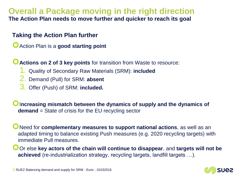### **Overall a Package moving in the right direction The Action Plan needs to move further and quicker to reach its goal**

### **Taking the Action Plan further**

Action Plan is a **good starting point**

**C** Actions on 2 of 3 key points for transition from Waste to resource:

- 1. Quality of Secondary Raw Materials (SRM): **included**
- 2. Demand (Pull) for SRM: **absent**
- 3. Offer (Push) of SRM: **included.**

**O**Increasing mismatch between the dynamics of supply and the dynamics of **demand** = State of crisis for the EU recycling sector

Need for **complementary measures to support national actions**, as well as an adapted timing to balance existing Push measures (e.g. 2020 recycling targets) with immediate Pull measures.

Or else key actors of the chain will continue to disappear, and targets will not be **achieved** (re-industrialization strategy, recycling targets, landfill targets …).

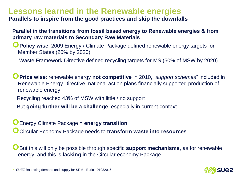### **Lessons learned in the Renewable energies**

**Parallels to inspire from the good practices and skip the downfalls**

### **Parallel in the transitions from fossil based energy to Renewable energies & from primary raw materials to Secondary Raw Materials**

**Policy wise**: 2009 Energy / Climate Package defined renewable energy targets for Member States (20% by 2020)

Waste Framework Directive defined recycling targets for MS (50% of MSW by 2020)

**Price wise**: renewable energy **not competitive** in 2010, "*support schemes*" included in Renewable Energy Directive, national action plans financially supported production of renewable energy

Recycling reached 43% of MSW with little / no support

But **going further will be a challenge**, especially in current context.

Energy Climate Package = **energy transition**;

Circular Economy Package needs to **transform waste into resources**.

But this will only be possible through specific **support mechanisms**, as for renewable energy, and this is **lacking** in the Circular economy Package.

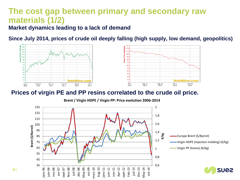### **The cost gap between primary and secondary raw materials (1/2)**

**Market dynamics leading to a lack of demand**

**Since July 2014, prices of crude oil deeply falling (high supply, low demand, geopolitics)**



#### **Prices of virgin PE and PP resins correlated to the crude oil price.**

**Brent / Virgin HDPE / Virgin PP: Price evolution 2006-2014**

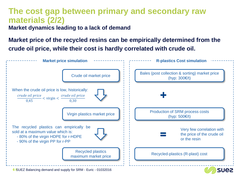### **The cost gap between primary and secondary raw materials (2/2)**

**Market dynamics leading to a lack of demand**

**Market price of the recycled resins can be empirically determined from the crude oil price, while their cost is hardly correlated with crude oil.**



**6 I** SUEZ Balancing demand and supply for SRM - Euric - 01032016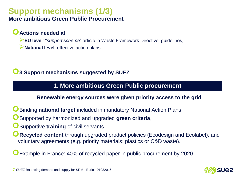## **Support mechanisms (1/3)**

### **More ambitious Green Public Procurement**

### **Actions needed at**

**EU level**: "*support scheme*" article in Waste Framework Directive, guidelines, …

**National level**: effective action plans.

### **3 Support mechanisms suggested by SUEZ**

### **1. More ambitious Green Public procurement**

#### **Renewable energy sources were given priority access to the grid**

- Binding **national target** included in mandatory National Action Plans
- Supported by harmonized and upgraded **green criteria**,
- **O** Supportive training of civil servants.
- **Recycled content** through upgraded product policies (Ecodesign and Ecolabel), and voluntary agreements (e.g. priority materials: plastics or C&D waste).

Example in France: 40% of recycled paper in public procurement by 2020.

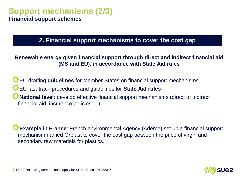### **Support mechanisms (2/3) Financial support schemes**

### **2. Financial support mechanisms to cover the cost gap**

#### **Renewable energy given financial support through direct and indirect financial aid (MS and EU), in accordance with State Aid rules**

EU drafting **guidelines** for Member States on financial support mechanisms EU fast-track procedures and guidelines for **State Aid rules National level**: develop effective financial support mechanisms (direct or indirect financial aid, insurance policies …).

**Example in France**: French environmental Agency (Ademe) set up a financial support mechanism named Orplast to cover the cost gap between the price of virgin and secondary raw materials for plastics.